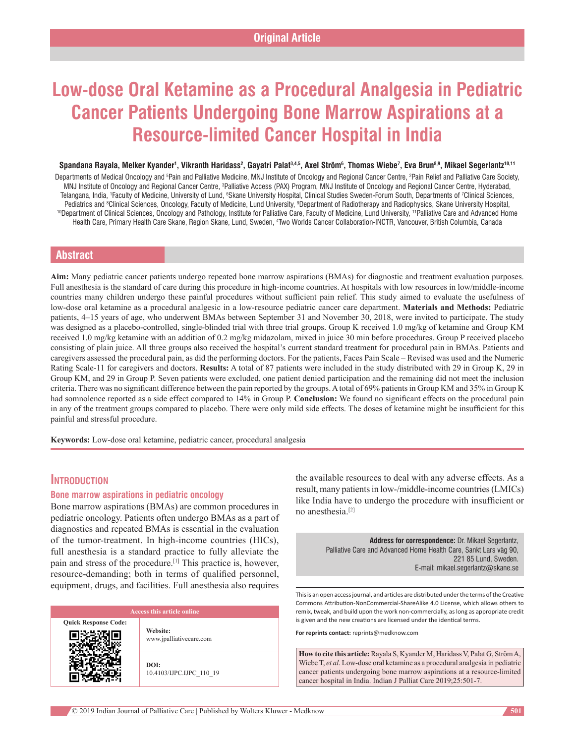# **Low‑dose Oral Ketamine as a Procedural Analgesia in Pediatric Cancer Patients Undergoing Bone Marrow Aspirations at a Resource‑limited Cancer Hospital in India**

#### Spandana Rayala, Melker Kyander', Vikranth Haridass<sup>2</sup>, Gayatri Palat<sup>3,4,5</sup>, Axel Ström<sup>6</sup>, Thomas Wiebe<sup>7</sup>, Eva Brun<sup>8,9</sup>, Mikael Segerlantz<sup>10,11</sup>

Departments of Medical Oncology and <sup>s</sup>Pain and Palliative Medicine, MNJ Institute of Oncology and Regional Cancer Centre, <sup>2</sup>Pain Relief and Palliative Care Society, MNJ Institute of Oncology and Regional Cancer Centre, <sup>3</sup>Palliative Access (PAX) Program, MNJ Institute of Oncology and Regional Cancer Centre, Hyderabad, Telangana, India, 1Faculty of Medicine, University of Lund, <sup>s</sup>Skane University Hospital, Clinical Studies Sweden-Forum South, Departments of <sup>7</sup>Clinical Sciences, Pediatrics and <sup>8</sup>Clinical Sciences, Oncology, Faculty of Medicine, Lund University, <sup>9</sup> <sup>10</sup>Department of Clinical Sciences, Oncology and Pathology, Institute for Palliative Care, Faculty of Medicine, Lund University, <sup>11</sup>Palliative Care and Advanced Home Health Care, Primary Health Care Skane, Region Skane, Lund, Sweden, <sup>4</sup>Two Worlds Cancer Collaboration-INCTR, Vancouver, British Columbia, Canada

# **Abstract**

**Aim:** Many pediatric cancer patients undergo repeated bone marrow aspirations (BMAs) for diagnostic and treatment evaluation purposes. Full anesthesia is the standard of care during this procedure in high-income countries. At hospitals with low resources in low/middle-income countries many children undergo these painful procedures without sufficient pain relief. This study aimed to evaluate the usefulness of low‑dose oral ketamine as a procedural analgesic in a low‑resource pediatric cancer care department. **Materials and Methods:** Pediatric patients, 4–15 years of age, who underwent BMAs between September 31 and November 30, 2018, were invited to participate. The study was designed as a placebo-controlled, single-blinded trial with three trial groups. Group K received 1.0 mg/kg of ketamine and Group KM received 1.0 mg/kg ketamine with an addition of 0.2 mg/kg midazolam, mixed in juice 30 min before procedures. Group P received placebo consisting of plain juice. All three groups also received the hospital's current standard treatment for procedural pain in BMAs. Patients and caregivers assessed the procedural pain, as did the performing doctors. For the patients, Faces Pain Scale – Revised was used and the Numeric Rating Scale‑11 for caregivers and doctors. **Results:** A total of 87 patients were included in the study distributed with 29 in Group K, 29 in Group KM, and 29 in Group P. Seven patients were excluded, one patient denied participation and the remaining did not meet the inclusion criteria. There was no significant difference between the pain reported by the groups. A total of 69% patients in Group KM and 35% in Group K had somnolence reported as a side effect compared to 14% in Group P. **Conclusion:** We found no significant effects on the procedural pain in any of the treatment groups compared to placebo. There were only mild side effects. The doses of ketamine might be insufficient for this painful and stressful procedure.

**Keywords:** Low‑dose oral ketamine, pediatric cancer, procedural analgesia

# **Introduction**

# **Bone marrow aspirations in pediatric oncology**

Bone marrow aspirations (BMAs) are common procedures in pediatric oncology. Patients often undergo BMAs as a part of diagnostics and repeated BMAs is essential in the evaluation of the tumor-treatment. In high-income countries (HICs), full anesthesia is a standard practice to fully alleviate the pain and stress of the procedure.[1] This practice is, however, resource-demanding; both in terms of qualified personnel, equipment, drugs, and facilities. Full anesthesia also requires

**Quick Response Code:**

**Website:** www.jpalliativecare.com

**DOI:** 10.4103/IJPC.IJPC\_110\_19 the available resources to deal with any adverse effects. As a result, many patients in low‑/middle‑income countries(LMICs) like India have to undergo the procedure with insufficient or no anesthesia.[2]

> **Address for correspondence:** Dr. Mikael Segerlantz, Palliative Care and Advanced Home Health Care, Sankt Lars väg 90, 221 85 Lund, Sweden. E‑mail: mikael.segerlantz@skane.se

This is an open access journal, and articles are distributed under the terms of the Creative Commons Attribution‑NonCommercial‑ShareAlike 4.0 License, which allows others to remix, tweak, and build upon the work non‑commercially, as long as appropriate credit is given and the new creations are licensed under the identical terms.

**For reprints contact:** reprints@medknow.com

**How to cite this article:** Rayala S, Kyander M, Haridass V, Palat G, Ström A, Wiebe T, *et al*. Low-dose oral ketamine as a procedural analgesia in pediatric cancer patients undergoing bone marrow aspirations at a resource-limited cancer hospital in India. Indian J Palliat Care 2019;25:501-7.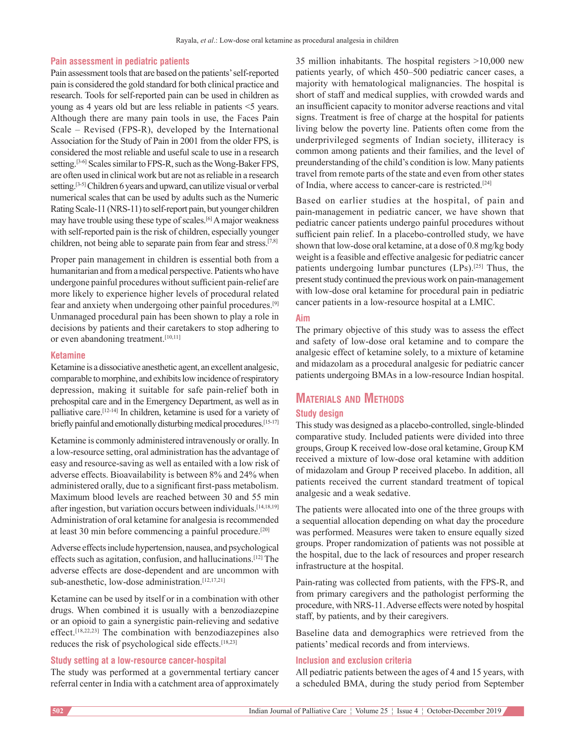# **Pain assessment in pediatric patients**

Pain assessment tools that are based on the patients' self‑reported pain is considered the gold standard for both clinical practice and research. Tools for self‑reported pain can be used in children as young as 4 years old but are less reliable in patients <5 years. Although there are many pain tools in use, the Faces Pain Scale – Revised (FPS-R), developed by the International Association for the Study of Pain in 2001 from the older FPS, is considered the most reliable and useful scale to use in a research setting.<sup>[3-6]</sup> Scales similar to FPS-R, such as the Wong-Baker FPS, are often used in clinical work but are not as reliable in a research setting.<sup>[3-5]</sup> Children 6 years and upward, can utilize visual or verbal numerical scales that can be used by adults such as the Numeric Rating Scale-11 (NRS-11) to self-report pain, but younger children may have trouble using these type of scales.[6] A major weakness with self-reported pain is the risk of children, especially younger children, not being able to separate pain from fear and stress.<sup>[7,8]</sup>

Proper pain management in children is essential both from a humanitarian and from a medical perspective. Patients who have undergone painful procedures without sufficient pain‑relief are more likely to experience higher levels of procedural related fear and anxiety when undergoing other painful procedures.[9] Unmanaged procedural pain has been shown to play a role in decisions by patients and their caretakers to stop adhering to or even abandoning treatment.[10,11]

# **Ketamine**

Ketamine is a dissociative anesthetic agent, an excellent analgesic, comparable to morphine, and exhibits low incidence of respiratory depression, making it suitable for safe pain‑relief both in prehospital care and in the Emergency Department, as well as in palliative care.<sup>[12-14]</sup> In children, ketamine is used for a variety of briefly painful and emotionally disturbing medical procedures.<sup>[15-17]</sup>

Ketamine is commonly administered intravenously or orally. In a low‑resource setting, oral administration has the advantage of easy and resource‑saving as well as entailed with a low risk of adverse effects. Bioavailability is between 8% and 24% when administered orally, due to a significant first‑pass metabolism. Maximum blood levels are reached between 30 and 55 min after ingestion, but variation occurs between individuals.[14,18,19] Administration of oral ketamine for analgesia is recommended at least 30 min before commencing a painful procedure.[20]

Adverse effects include hypertension, nausea, and psychological effects such as agitation, confusion, and hallucinations.[12] The adverse effects are dose‑dependent and are uncommon with sub-anesthetic, low-dose administration.<sup>[12,17,21]</sup>

Ketamine can be used by itself or in a combination with other drugs. When combined it is usually with a benzodiazepine or an opioid to gain a synergistic pain‑relieving and sedative effect.[18,22,23] The combination with benzodiazepines also reduces the risk of psychological side effects.[18,23]

# **Study setting at a low‑resource cancer‑hospital**

The study was performed at a governmental tertiary cancer referral center in India with a catchment area of approximately 35 million inhabitants. The hospital registers >10,000 new patients yearly, of which 450–500 pediatric cancer cases, a majority with hematological malignancies. The hospital is short of staff and medical supplies, with crowded wards and an insufficient capacity to monitor adverse reactions and vital signs. Treatment is free of charge at the hospital for patients living below the poverty line. Patients often come from the underprivileged segments of Indian society, illiteracy is common among patients and their families, and the level of preunderstanding of the child's condition is low. Many patients travel from remote parts of the state and even from other states of India, where access to cancer-care is restricted.<sup>[24]</sup>

Based on earlier studies at the hospital, of pain and pain‑management in pediatric cancer, we have shown that pediatric cancer patients undergo painful procedures without sufficient pain relief. In a placebo-controlled study, we have shown that low‑dose oral ketamine, at a dose of 0.8 mg/kg body weight is a feasible and effective analgesic for pediatric cancer patients undergoing lumbar punctures (LPs).<sup>[25]</sup> Thus, the present study continued the previous work on pain‑management with low-dose oral ketamine for procedural pain in pediatric cancer patients in a low‑resource hospital at a LMIC.

# **Aim**

The primary objective of this study was to assess the effect and safety of low‑dose oral ketamine and to compare the analgesic effect of ketamine solely, to a mixture of ketamine and midazolam as a procedural analgesic for pediatric cancer patients undergoing BMAs in a low‑resource Indian hospital.

# **Materials and Methods**

# **Study design**

This study was designed as a placebo‑controlled, single‑blinded comparative study. Included patients were divided into three groups, Group K received low‑dose oral ketamine, Group KM received a mixture of low‑dose oral ketamine with addition of midazolam and Group P received placebo. In addition, all patients received the current standard treatment of topical analgesic and a weak sedative.

The patients were allocated into one of the three groups with a sequential allocation depending on what day the procedure was performed. Measures were taken to ensure equally sized groups. Proper randomization of patients was not possible at the hospital, due to the lack of resources and proper research infrastructure at the hospital.

Pain-rating was collected from patients, with the FPS–R, and from primary caregivers and the pathologist performing the procedure, with NRS‑11. Adverse effects were noted by hospital staff, by patients, and by their caregivers.

Baseline data and demographics were retrieved from the patients' medical records and from interviews.

# **Inclusion and exclusion criteria**

All pediatric patients between the ages of 4 and 15 years, with a scheduled BMA, during the study period from September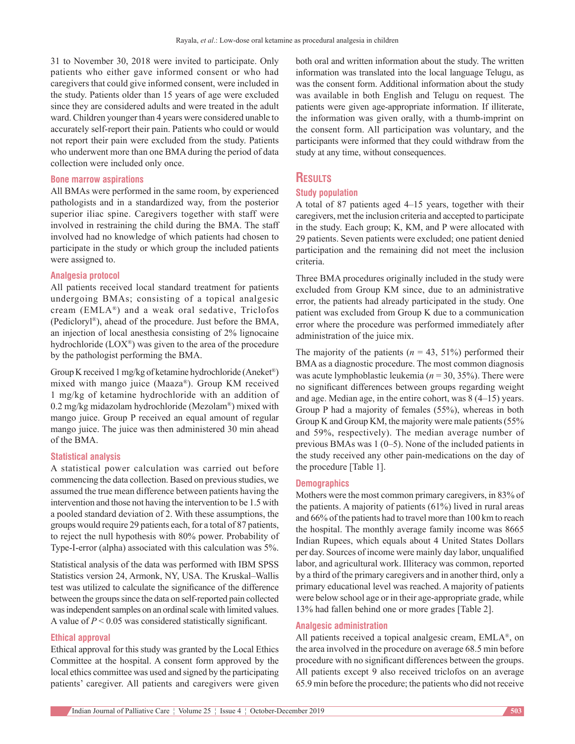31 to November 30, 2018 were invited to participate. Only patients who either gave informed consent or who had caregivers that could give informed consent, were included in the study. Patients older than 15 years of age were excluded since they are considered adults and were treated in the adult ward. Children younger than 4 years were considered unable to accurately self‑report their pain. Patients who could or would not report their pain were excluded from the study. Patients who underwent more than one BMA during the period of data collection were included only once.

### **Bone marrow aspirations**

All BMAs were performed in the same room, by experienced pathologists and in a standardized way, from the posterior superior iliac spine. Caregivers together with staff were involved in restraining the child during the BMA. The staff involved had no knowledge of which patients had chosen to participate in the study or which group the included patients were assigned to.

# **Analgesia protocol**

All patients received local standard treatment for patients undergoing BMAs; consisting of a topical analgesic cream (EMLA®) and a weak oral sedative, Triclofos (Pedicloryl®), ahead of the procedure. Just before the BMA, an injection of local anesthesia consisting of 2% lignocaine hydrochloride (LOX®) was given to the area of the procedure by the pathologist performing the BMA.

Group K received 1 mg/kg of ketamine hydrochloride (Aneket®) mixed with mango juice (Maaza®). Group KM received 1 mg/kg of ketamine hydrochloride with an addition of 0.2 mg/kg midazolam hydrochloride (Mezolam®) mixed with mango juice. Group P received an equal amount of regular mango juice. The juice was then administered 30 min ahead of the BMA.

### **Statistical analysis**

A statistical power calculation was carried out before commencing the data collection. Based on previous studies, we assumed the true mean difference between patients having the intervention and those not having the intervention to be 1.5 with a pooled standard deviation of 2. With these assumptions, the groups would require 29 patients each, for a total of 87 patients, to reject the null hypothesis with 80% power. Probability of Type-I-error (alpha) associated with this calculation was 5%.

Statistical analysis of the data was performed with IBM SPSS Statistics version 24, Armonk, NY, USA. The Kruskal–Wallis test was utilized to calculate the significance of the difference between the groups since the data on self‑reported pain collected was independent samples on an ordinal scale with limited values. A value of *P* < 0.05 was considered statistically significant.

#### **Ethical approval**

Ethical approval for this study was granted by the Local Ethics Committee at the hospital. A consent form approved by the local ethics committee was used and signed by the participating patients' caregiver. All patients and caregivers were given both oral and written information about the study. The written information was translated into the local language Telugu, as was the consent form. Additional information about the study was available in both English and Telugu on request*.* The patients were given age‑appropriate information. If illiterate, the information was given orally, with a thumb-imprint on the consent form. All participation was voluntary, and the participants were informed that they could withdraw from the study at any time, without consequences.

# **Results**

# **Study population**

A total of 87 patients aged 4–15 years, together with their caregivers, met the inclusion criteria and accepted to participate in the study. Each group; K, KM, and P were allocated with 29 patients. Seven patients were excluded; one patient denied participation and the remaining did not meet the inclusion criteria.

Three BMA procedures originally included in the study were excluded from Group KM since, due to an administrative error, the patients had already participated in the study. One patient was excluded from Group K due to a communication error where the procedure was performed immediately after administration of the juice mix.

The majority of the patients  $(n = 43, 51\%)$  performed their BMA as a diagnostic procedure. The most common diagnosis was acute lymphoblastic leukemia (*n* = 30, 35%). There were no significant differences between groups regarding weight and age. Median age, in the entire cohort, was 8 (4–15) years. Group P had a majority of females (55%), whereas in both Group K and Group KM, the majority were male patients (55%) and 59%, respectively). The median average number of previous BMAs was 1 (0–5). None of the included patients in the study received any other pain-medications on the day of the procedure [Table 1].

# **Demographics**

Mothers were the most common primary caregivers, in 83% of the patients. A majority of patients (61%) lived in rural areas and 66% of the patients had to travel more than 100 km to reach the hospital. The monthly average family income was 8665 Indian Rupees, which equals about 4 United States Dollars per day. Sources of income were mainly day labor, unqualified labor, and agricultural work. Illiteracy was common, reported by a third of the primary caregivers and in another third, only a primary educational level was reached. A majority of patients were below school age or in their age-appropriate grade, while 13% had fallen behind one or more grades [Table 2].

# **Analgesic administration**

All patients received a topical analgesic cream, EMLA®, on the area involved in the procedure on average 68.5 min before procedure with no significant differences between the groups. All patients except 9 also received triclofos on an average 65.9 min before the procedure; the patients who did not receive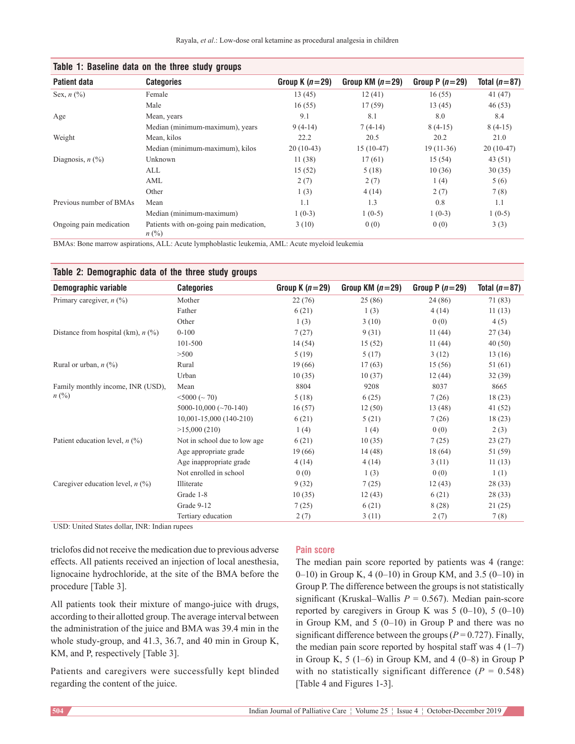| $\cdots$ success which can the unit control given to |                                                      |                  |                   |                  |                |  |
|------------------------------------------------------|------------------------------------------------------|------------------|-------------------|------------------|----------------|--|
| <b>Patient data</b>                                  | <b>Categories</b>                                    | Group K $(n=29)$ | Group KM $(n=29)$ | Group P $(n=29)$ | Total $(n=87)$ |  |
| Sex, $n$ (%)                                         | Female                                               | 13(45)           | 12(41)            | 16(55)           | 41(47)         |  |
|                                                      | Male                                                 | 16(55)           | 17(59)            | 13(45)           | 46(53)         |  |
| Age                                                  | Mean, years                                          | 9.1              | 8.1               | 8.0              | 8.4            |  |
|                                                      | Median (minimum-maximum), years                      | $9(4-14)$        | $7(4-14)$         | $8(4-15)$        | $8(4-15)$      |  |
| Weight                                               | Mean, kilos                                          | 22.2             | 20.5              | 20.2             | 21.0           |  |
|                                                      | Median (minimum-maximum), kilos                      | $20(10-43)$      | $15(10-47)$       | $19(11-36)$      | $20(10-47)$    |  |
| Diagnosis, $n$ $\left(\frac{9}{6}\right)$            | Unknown                                              | 11(38)           | 17(61)            | 15(54)           | 43(51)         |  |
|                                                      | ALL                                                  | 15(52)           | 5(18)             | 10(36)           | 30(35)         |  |
|                                                      | AML                                                  | 2(7)             | 2(7)              | 1(4)             | 5(6)           |  |
|                                                      | Other                                                | 1(3)             | 4(14)             | 2(7)             | 7(8)           |  |
| Previous number of BMAs                              | Mean                                                 | 1.1              | 1.3               | 0.8              | 1.1            |  |
|                                                      | Median (minimum-maximum)                             | $1(0-3)$         | $1(0-5)$          | $1(0-3)$         | $1(0-5)$       |  |
| Ongoing pain medication                              | Patients with on-going pain medication,<br>$n\ (\%)$ | 3(10)            | 0(0)              | 0(0)             | 3(3)           |  |

# **Table 1: Baseline data on the three study groups**

BMAs: Bone marrow aspirations, ALL: Acute lymphoblastic leukemia, AML: Acute myeloid leukemia

# **Table 2: Demographic data of the three study groups**

| Demographic variable                 | <b>Categories</b>            | Group K $(n=29)$ | Group KM $(n=29)$ | Group P $(n=29)$ | Total $(n=87)$ |
|--------------------------------------|------------------------------|------------------|-------------------|------------------|----------------|
| Primary caregiver, $n$ (%)           | Mother                       | 22(76)           | 25 (86)           | 24 (86)          | 71 (83)        |
|                                      | Father                       | 6(21)            | 1(3)              | 4(14)            | 11(13)         |
|                                      | Other                        | 1(3)             | 3(10)             | 0(0)             | 4(5)           |
| Distance from hospital (km), $n$ (%) | $0 - 100$                    | 7(27)            | 9(31)             | 11(44)           | 27(34)         |
|                                      | 101-500                      | 14(54)           | 15(52)            | 11(44)           | 40(50)         |
|                                      | >500                         | 5(19)            | 5(17)             | 3(12)            | 13(16)         |
| Rural or urban, $n$ (%)              | Rural                        | 19(66)           | 17(63)            | 15(56)           | 51 (61)        |
|                                      | Urban                        | 10(35)           | 10(37)            | 12(44)           | 32(39)         |
| Family monthly income, INR (USD),    | Mean                         | 8804             | 9208              | 8037             | 8665           |
| $n\ (\%)$                            | $<$ 5000 ( $\sim$ 70)        | 5(18)            | 6(25)             | 7(26)            | 18(23)         |
|                                      | 5000-10,000 $(\sim 70-140)$  | 16(57)           | 12(50)            | 13 (48)          | 41(52)         |
|                                      | 10,001-15,000 (140-210)      | 6(21)            | 5(21)             | 7(26)            | 18(23)         |
|                                      | >15,000(210)                 | 1(4)             | 1(4)              | 0(0)             | 2(3)           |
| Patient education level, $n$ (%)     | Not in school due to low age | 6(21)            | 10(35)            | 7(25)            | 23(27)         |
|                                      | Age appropriate grade        | 19(66)           | 14(48)            | 18(64)           | 51 (59)        |
|                                      | Age inappropriate grade      | 4(14)            | 4(14)             | 3(11)            | 11(13)         |
|                                      | Not enrolled in school       | 0(0)             | 1(3)              | 0(0)             | 1(1)           |
| Caregiver education level, $n$ (%)   | Illiterate                   | 9(32)            | 7(25)             | 12(43)           | 28(33)         |
|                                      | Grade 1-8                    | 10(35)           | 12(43)            | 6(21)            | 28 (33)        |
|                                      | Grade 9-12                   | 7(25)            | 6(21)             | 8 (28)           | 21(25)         |
|                                      | Tertiary education           | 2(7)             | 3(11)             | 2(7)             | 7(8)           |

USD: United States dollar, INR: Indian rupees

triclofos did not receive the medication due to previous adverse effects. All patients received an injection of local anesthesia, lignocaine hydrochloride, at the site of the BMA before the procedure [Table 3].

All patients took their mixture of mango-juice with drugs, according to their allotted group. The average interval between the administration of the juice and BMA was 39.4 min in the whole study-group, and 41.3, 36.7, and 40 min in Group K, KM, and P, respectively [Table 3].

Patients and caregivers were successfully kept blinded regarding the content of the juice.

# **Pain score**

The median pain score reported by patients was 4 (range: 0–10) in Group K, 4 (0–10) in Group KM, and 3.5 (0–10) in Group P. The difference between the groups is not statistically significant (Kruskal–Wallis *P* = 0.567). Median pain-score reported by caregivers in Group K was  $5(0-10)$ ,  $5(0-10)$ in Group KM, and  $5(0-10)$  in Group P and there was no significant difference between the groups ( $P = 0.727$ ). Finally, the median pain score reported by hospital staff was  $4(1-7)$ in Group K, 5 (1–6) in Group KM, and 4 (0–8) in Group P with no statistically significant difference  $(P = 0.548)$ [Table 4 and Figures 1‑3].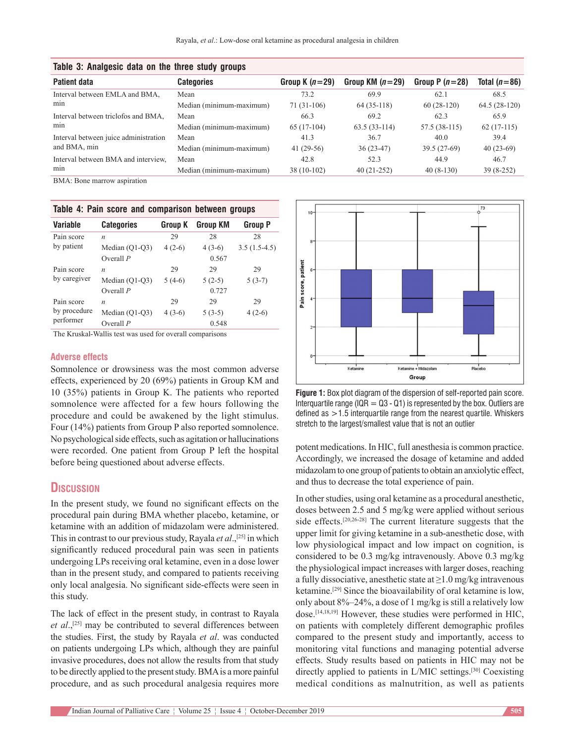| TANIO OI TIIIMINOOIO MMIM OII IIIO IIIIOO OIMMY MIOMPO |                          |                  |                   |                  |                |  |
|--------------------------------------------------------|--------------------------|------------------|-------------------|------------------|----------------|--|
| <b>Patient data</b>                                    | <b>Categories</b>        | Group K $(n=29)$ | Group KM $(n=29)$ | Group P $(n=28)$ | Total $(n=86)$ |  |
| Interval between EMLA and BMA,                         | Mean                     | 73.2             | 69.9              | 62.1             | 68.5           |  |
| min                                                    | Median (minimum-maximum) | $71(31-106)$     | $64(35-118)$      | $60(28-120)$     | $64.5(28-120)$ |  |
| Interval between triclofos and BMA,                    | Mean                     | 66.3             | 69.2              | 62.3             | 65.9           |  |
| min                                                    | Median (minimum-maximum) | $65(17-104)$     | $63.5(33-114)$    | 57.5 (38-115)    | $62(17-115)$   |  |
| Interval between juice administration                  | Mean                     | 41.3             | 36.7              | 40.0             | 39.4           |  |
| and BMA, min                                           | Median (minimum-maximum) | 41 $(29-56)$     | $36(23-47)$       | $39.5(27-69)$    | $40(23-69)$    |  |
| Interval between BMA and interview.                    | Mean                     | 42.8             | 52.3              | 44.9             | 46.7           |  |
| min                                                    | Median (minimum-maximum) | $38(10-102)$     | $40(21-252)$      | $40(8-130)$      | $39(8-252)$    |  |
|                                                        |                          |                  |                   |                  |                |  |

# **Table 3: Analgesic data on the three study groups**

BMA: Bone marrow aspiration

|  |  | Table 4: Pain score and comparison between groups |  |
|--|--|---------------------------------------------------|--|
|  |  |                                                   |  |

| <b>Variable</b>           | <b>Categories</b> | <b>Group K</b> | <b>Group KM</b> | <b>Group P</b> |
|---------------------------|-------------------|----------------|-----------------|----------------|
| Pain score                | $\boldsymbol{n}$  | 29             | 28              | 28             |
| by patient                | Median $(Q1-Q3)$  | $4(2-6)$       | $4(3-6)$        | $3.5(1.5-4.5)$ |
|                           | Overall $P$       |                | 0.567           |                |
| Pain score                | n                 | 29             | 29              | 29             |
| by caregiver              | Median (Q1-Q3)    | $5(4-6)$       | $5(2-5)$        | $5(3-7)$       |
|                           | Overall $P$       |                | 0.727           |                |
| Pain score                | $\boldsymbol{n}$  | 29             | 29              | 29             |
| by procedure<br>performer | Median (Q1-Q3)    | $4(3-6)$       | $5(3-5)$        | $4(2-6)$       |
|                           | Overall $P$       |                | 0.548           |                |

The Kruskal-Wallis test was used for overall comparisons

# **Adverse effects**

Somnolence or drowsiness was the most common adverse effects, experienced by 20 (69%) patients in Group KM and 10 (35%) patients in Group K. The patients who reported somnolence were affected for a few hours following the procedure and could be awakened by the light stimulus. Four (14%) patients from Group P also reported somnolence. No psychological side effects, such as agitation or hallucinations were recorded. One patient from Group P left the hospital before being questioned about adverse effects.

# **Discussion**

In the present study, we found no significant effects on the procedural pain during BMA whether placebo, ketamine, or ketamine with an addition of midazolam were administered. This in contrast to our previous study, Rayala *et al*.,[25] in which significantly reduced procedural pain was seen in patients undergoing LPs receiving oral ketamine, even in a dose lower than in the present study, and compared to patients receiving only local analgesia. No significant side‑effects were seen in this study.

The lack of effect in the present study, in contrast to Rayala *et al*.,[25] may be contributed to several differences between the studies. First, the study by Rayala *et al*. was conducted on patients undergoing LPs which, although they are painful invasive procedures, does not allow the results from that study to be directly applied to the present study. BMA is a more painful procedure, and as such procedural analgesia requires more



**Figure 1:** Box plot diagram of the dispersion of self-reported pain score. Interquartile range (IQR  $=$  Q3 - Q1) is represented by the box. Outliers are defined as  $>1.5$  interquartile range from the nearest quartile. Whiskers stretch to the largest/smallest value that is not an outlier

potent medications. In HIC, full anesthesia is common practice. Accordingly, we increased the dosage of ketamine and added midazolam to one group of patients to obtain an anxiolytic effect, and thus to decrease the total experience of pain.

In other studies, using oral ketamine as a procedural anesthetic, doses between 2.5 and 5 mg/kg were applied without serious side effects.[20,26‑28] The current literature suggests that the upper limit for giving ketamine in a sub‑anesthetic dose, with low physiological impact and low impact on cognition, is considered to be 0.3 mg/kg intravenously. Above 0.3 mg/kg the physiological impact increases with larger doses, reaching a fully dissociative, anesthetic state at  $\geq 1.0$  mg/kg intravenous ketamine.[29] Since the bioavailability of oral ketamine is low, only about 8%–24%, a dose of 1 mg/kg is still a relatively low dose.[14,18,19] However, these studies were performed in HIC, on patients with completely different demographic profiles compared to the present study and importantly, access to monitoring vital functions and managing potential adverse effects. Study results based on patients in HIC may not be directly applied to patients in L/MIC settings.[30] Coexisting medical conditions as malnutrition, as well as patients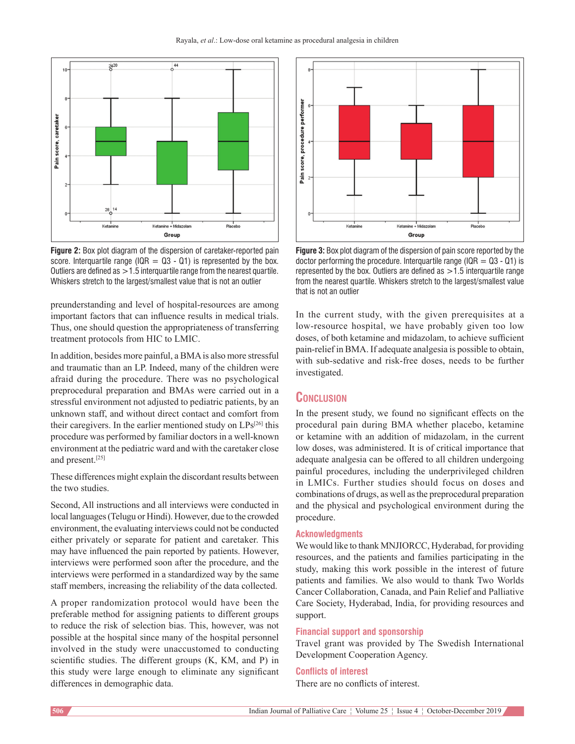

**Figure 2:** Box plot diagram of the dispersion of caretaker-reported pain score. Interquartile range ( $IQR = Q3 - Q1$ ) is represented by the box. Outliers are defined as  $>1.5$  interquartile range from the nearest quartile. Whiskers stretch to the largest/smallest value that is not an outlier

preunderstanding and level of hospital‑resources are among important factors that can influence results in medical trials. Thus, one should question the appropriateness of transferring treatment protocols from HIC to LMIC.

In addition, besides more painful, a BMA is also more stressful and traumatic than an LP. Indeed, many of the children were afraid during the procedure. There was no psychological preprocedural preparation and BMAs were carried out in a stressful environment not adjusted to pediatric patients, by an unknown staff, and without direct contact and comfort from their caregivers. In the earlier mentioned study on  $LPs^{[26]}$  this procedure was performed by familiar doctors in a well-known environment at the pediatric ward and with the caretaker close and present.[25]

These differences might explain the discordant results between the two studies.

Second, All instructions and all interviews were conducted in local languages(Telugu or Hindi). However, due to the crowded environment, the evaluating interviews could not be conducted either privately or separate for patient and caretaker. This may have influenced the pain reported by patients. However, interviews were performed soon after the procedure, and the interviews were performed in a standardized way by the same staff members, increasing the reliability of the data collected.

A proper randomization protocol would have been the preferable method for assigning patients to different groups to reduce the risk of selection bias. This, however, was not possible at the hospital since many of the hospital personnel involved in the study were unaccustomed to conducting scientific studies. The different groups (K, KM, and P) in this study were large enough to eliminate any significant differences in demographic data.



**Figure 3:** Box plot diagram of the dispersion of pain score reported by the doctor performing the procedure. Interguartile range (IQR  $=$  Q3 - Q1) is represented by the box. Outliers are defined as  $>1.5$  interquartile range from the nearest quartile. Whiskers stretch to the largest/smallest value that is not an outlier

In the current study, with the given prerequisites at a low-resource hospital, we have probably given too low doses, of both ketamine and midazolam, to achieve sufficient pain‑relief in BMA. If adequate analgesia is possible to obtain, with sub-sedative and risk-free doses, needs to be further investigated.

# **Conclusion**

In the present study, we found no significant effects on the procedural pain during BMA whether placebo, ketamine or ketamine with an addition of midazolam, in the current low doses, was administered. It is of critical importance that adequate analgesia can be offered to all children undergoing painful procedures, including the underprivileged children in LMICs. Further studies should focus on doses and combinations of drugs, as well as the preprocedural preparation and the physical and psychological environment during the procedure.

# **Acknowledgments**

We would like to thank MNJIORCC, Hyderabad, for providing resources, and the patients and families participating in the study, making this work possible in the interest of future patients and families. We also would to thank Two Worlds Cancer Collaboration, Canada, and Pain Relief and Palliative Care Society, Hyderabad, India, for providing resources and support.

### **Financial support and sponsorship**

Travel grant was provided by The Swedish International Development Cooperation Agency.

# **Conflicts of interest**

There are no conflicts of interest.